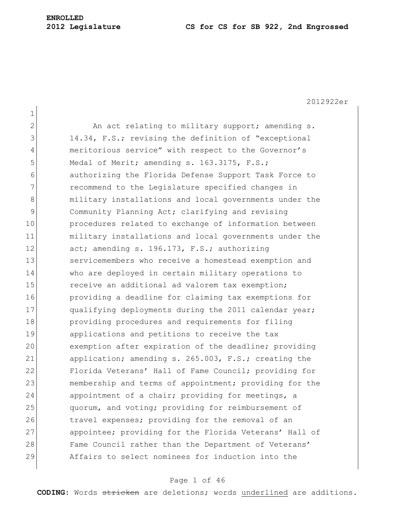# **ENROLLED**

#### **2012 Legislature CS for CS for SB 922, 2nd Engrossed**

2012922er

1 2 An act relating to military support; amending s. 3 14.34, F.S.; revising the definition of "exceptional 4 meritorious service" with respect to the Governor's 5 Medal of Merit; amending s. 163.3175, F.S.; 6 authorizing the Florida Defense Support Task Force to 7 **recommend to the Legislature specified changes in** 8 military installations and local governments under the 9 Community Planning Act; clarifying and revising 10 **procedures related to exchange of information between** 11 military installations and local governments under the 12 act; amending s. 196.173, F.S.; authorizing 13 Servicemembers who receive a homestead exemption and 14 who are deployed in certain military operations to 15 **receive an additional ad valorem tax exemption;** 16 providing a deadline for claiming tax exemptions for 17 qualifying deployments during the 2011 calendar year; 18 **providing procedures and requirements for filing** 19 applications and petitions to receive the tax 20 exemption after expiration of the deadline; providing 21 application; amending s. 265.003, F.S.; creating the 22 Florida Veterans' Hall of Fame Council; providing for 23 membership and terms of appointment; providing for the 24 appointment of a chair; providing for meetings, a 25 quorum, and voting; providing for reimbursement of 26 travel expenses; providing for the removal of an 27 appointee; providing for the Florida Veterans' Hall of 28 Fame Council rather than the Department of Veterans' 29 Affairs to select nominees for induction into the

## Page 1 of 46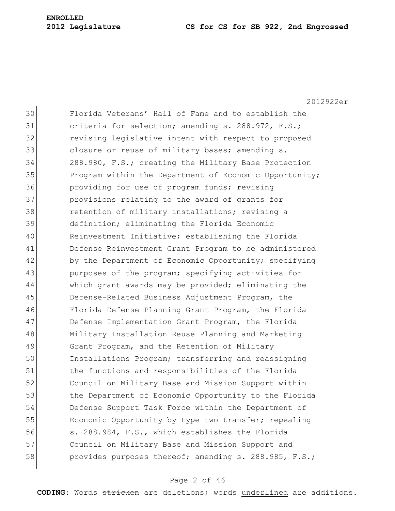2012922er Florida Veterans" Hall of Fame and to establish the 31 criteria for selection; amending s. 288.972, F.S.; revising legislative intent with respect to proposed 33 closure or reuse of military bases; amending s. 288.980, F.S.; creating the Military Base Protection 35 Program within the Department of Economic Opportunity; providing for use of program funds; revising provisions relating to the award of grants for 38 retention of military installations; revising a definition; eliminating the Florida Economic Reinvestment Initiative; establishing the Florida Defense Reinvestment Grant Program to be administered 42 by the Department of Economic Opportunity; specifying 43 purposes of the program; specifying activities for which grant awards may be provided; eliminating the Defense-Related Business Adjustment Program, the Florida Defense Planning Grant Program, the Florida 47 Defense Implementation Grant Program, the Florida Military Installation Reuse Planning and Marketing Grant Program, and the Retention of Military Installations Program; transferring and reassigning the functions and responsibilities of the Florida Council on Military Base and Mission Support within 53 the Department of Economic Opportunity to the Florida Defense Support Task Force within the Department of 55 Economic Opportunity by type two transfer; repealing s. 288.984, F.S., which establishes the Florida Council on Military Base and Mission Support and 58 provides purposes thereof; amending s. 288.985, F.S.;

## Page 2 of 46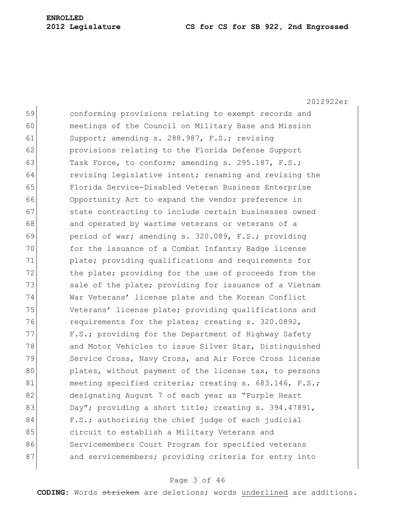2012922er 59 conforming provisions relating to exempt records and 60 meetings of the Council on Military Base and Mission 61 Support; amending s. 288.987, F.S.; revising 62 provisions relating to the Florida Defense Support 63 Task Force, to conform; amending s. 295.187, F.S.; 64 revising legislative intent; renaming and revising the 65 Florida Service-Disabled Veteran Business Enterprise 66 Opportunity Act to expand the vendor preference in 67 state contracting to include certain businesses owned 68 and operated by wartime veterans or veterans of a 69 period of war; amending s. 320.089, F.S.; providing 70 for the issuance of a Combat Infantry Badge license 71 plate; providing qualifications and requirements for 72 the plate; providing for the use of proceeds from the 73 Sale of the plate; providing for issuance of a Vietnam 74 War Veterans" license plate and the Korean Conflict 75 Veterans' license plate; providing qualifications and 76 requirements for the plates; creating s. 320.0892, 77 F.S.; providing for the Department of Highway Safety 78 and Motor Vehicles to issue Silver Star, Distinguished 79 Service Cross, Navy Cross, and Air Force Cross license 80 plates, without payment of the license tax, to persons 81 meeting specified criteria; creating s. 683.146, F.S.; 82 designating August 7 of each year as "Purple Heart 83 Day"; providing a short title; creating s. 394.47891, 84 F.S.; authorizing the chief judge of each judicial 85 circuit to establish a Military Veterans and 86 Servicemembers Court Program for specified veterans 87 and servicemembers; providing criteria for entry into

## Page 3 of 46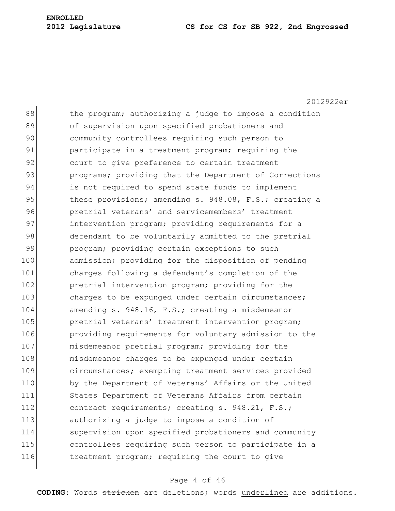2012922er 88 the program; authorizing a judge to impose a condition 89 of supervision upon specified probationers and 90 community controllees requiring such person to 91 participate in a treatment program; requiring the 92 court to give preference to certain treatment 93 programs; providing that the Department of Corrections 94 is not required to spend state funds to implement 95 these provisions; amending s. 948.08, F.S.; creating a 96 **pretrial veterans' and servicemembers' treatment** 97 intervention program; providing requirements for a 98 defendant to be voluntarily admitted to the pretrial 99 program; providing certain exceptions to such 100 admission; providing for the disposition of pending 101 charges following a defendant's completion of the 102 **pretrial intervention program;** providing for the 103 charges to be expunged under certain circumstances; 104 amending s. 948.16, F.S.; creating a misdemeanor 105 **pretrial veterans' treatment intervention program;** 106 **providing requirements for voluntary admission to the** 107 misdemeanor pretrial program; providing for the 108 misdemeanor charges to be expunged under certain 109 circumstances; exempting treatment services provided 110 by the Department of Veterans' Affairs or the United 111 States Department of Veterans Affairs from certain 112 contract requirements; creating s. 948.21, F.S.; 113 authorizing a judge to impose a condition of 114 supervision upon specified probationers and community 115 controllees requiring such person to participate in a 116 treatment program; requiring the court to give

## Page 4 of 46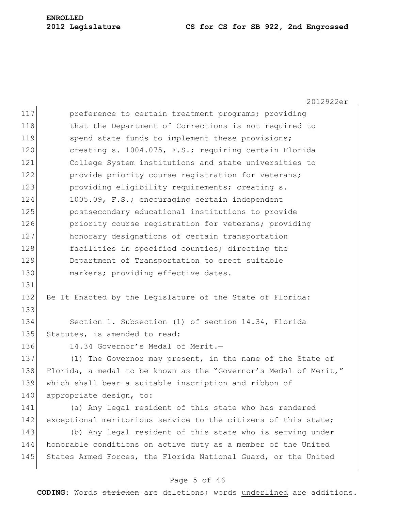2012922er 117 **preference to certain treatment programs;** providing 118 that the Department of Corrections is not required to 119 Spend state funds to implement these provisions; 120 creating s. 1004.075, F.S.; requiring certain Florida 121 College System institutions and state universities to 122 provide priority course registration for veterans; 123 **providing eligibility requirements; creating s.** 124 1005.09, F.S.; encouraging certain independent 125 postsecondary educational institutions to provide 126 **priority course registration for veterans;** providing 127 honorary designations of certain transportation 128 facilities in specified counties; directing the 129 Department of Transportation to erect suitable 130 markers; providing effective dates. 131 132 Be It Enacted by the Legislature of the State of Florida: 133 134 Section 1. Subsection (1) of section 14.34, Florida 135 Statutes, is amended to read: 136 14.34 Governor's Medal of Merit.-137 (1) The Governor may present, in the name of the State of 138 Florida, a medal to be known as the "Governor's Medal of Merit," 139 which shall bear a suitable inscription and ribbon of 140 appropriate design, to: 141 (a) Any legal resident of this state who has rendered 142 exceptional meritorious service to the citizens of this state; 143 (b) Any legal resident of this state who is serving under 144 honorable conditions on active duty as a member of the United 145 States Armed Forces, the Florida National Guard, or the United

## Page 5 of 46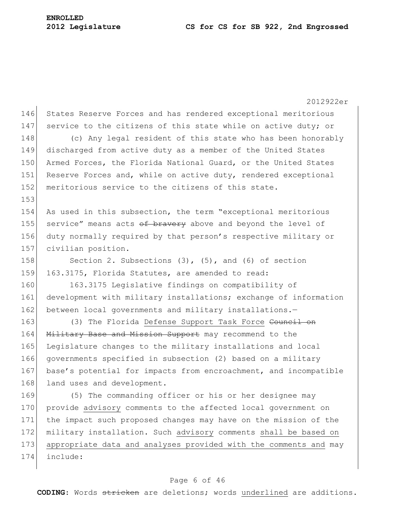2012922er 146 States Reserve Forces and has rendered exceptional meritorious 147 service to the citizens of this state while on active duty; or 148 (c) Any legal resident of this state who has been honorably 149 discharged from active duty as a member of the United States 150 Armed Forces, the Florida National Guard, or the United States 151 Reserve Forces and, while on active duty, rendered exceptional 152 meritorious service to the citizens of this state. 153 154 As used in this subsection, the term "exceptional meritorious 155 service" means acts  $\theta$  bravery above and beyond the level of 156 duty normally required by that person"s respective military or 157 civilian position. 158 Section 2. Subsections (3), (5), and (6) of section 159 163.3175, Florida Statutes, are amended to read: 160 163.3175 Legislative findings on compatibility of 161 development with military installations; exchange of information 162 between local governments and military installations.-163 (3) The Florida Defense Support Task Force Council on 164 Military Base and Mission Support may recommend to the 165 Legislature changes to the military installations and local 166 governments specified in subsection (2) based on a military 167 base's potential for impacts from encroachment, and incompatible 168 land uses and development. 169 (5) The commanding officer or his or her designee may 170 provide advisory comments to the affected local government on 171 the impact such proposed changes may have on the mission of the 172 military installation. Such advisory comments shall be based on 173 appropriate data and analyses provided with the comments and may 174 include:

#### Page 6 of 46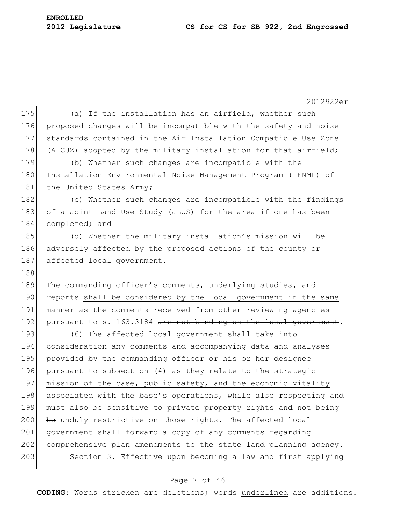2012922er 175 (a) If the installation has an airfield, whether such 176 proposed changes will be incompatible with the safety and noise 177 standards contained in the Air Installation Compatible Use Zone 178 (AICUZ) adopted by the military installation for that airfield; 179 (b) Whether such changes are incompatible with the 180 Installation Environmental Noise Management Program (IENMP) of 181 the United States Army; 182 (c) Whether such changes are incompatible with the findings 183 of a Joint Land Use Study (JLUS) for the area if one has been 184 completed; and 185 (d) Whether the military installation"s mission will be 186 adversely affected by the proposed actions of the county or 187 affected local government. 188 189 The commanding officer's comments, underlying studies, and 190 reports shall be considered by the local government in the same 191 manner as the comments received from other reviewing agencies 192 pursuant to s. 163.3184 are not binding on the local government. 193 (6) The affected local government shall take into 194 consideration any comments and accompanying data and analyses 195 provided by the commanding officer or his or her designee 196 pursuant to subsection (4) as they relate to the strategic 197 mission of the base, public safety, and the economic vitality 198 associated with the base's operations, while also respecting and 199 must also be sensitive to private property rights and not being  $200$  be unduly restrictive on those rights. The affected local 201 government shall forward a copy of any comments regarding 202 comprehensive plan amendments to the state land planning agency. 203 Section 3. Effective upon becoming a law and first applying

#### Page 7 of 46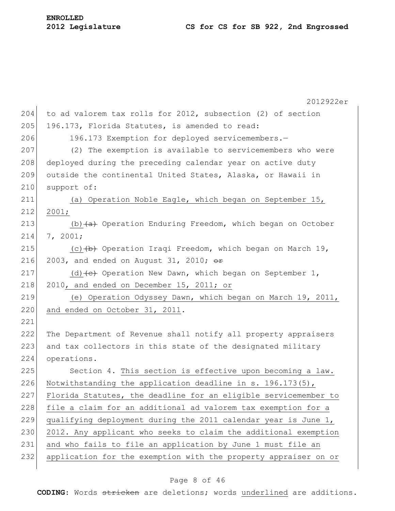2012922er 204 to ad valorem tax rolls for 2012, subsection (2) of section  $205$  196.173, Florida Statutes, is amended to read: 206 196.173 Exemption for deployed servicemembers.-207 (2) The exemption is available to servicemembers who were 208 deployed during the preceding calendar year on active duty 209 outside the continental United States, Alaska, or Hawaii in 210 support of: 211 (a) Operation Noble Eagle, which began on September 15, 212 2001; 213 (b)  $(a + b)$  Operation Enduring Freedom, which began on October 214 7, 2001; 215  $(c)$  (c)  $(b)$  Operation Iraqi Freedom, which began on March 19, 216 2003, and ended on August 31, 2010;  $\theta$ r 217 (d)  $\left(\text{e}\right)$  Operation New Dawn, which began on September 1, 218 2010, and ended on December 15, 2011; or 219 (e) Operation Odyssey Dawn, which began on March 19, 2011, 220 and ended on October 31, 2011. 221 222 The Department of Revenue shall notify all property appraisers 223 and tax collectors in this state of the designated military 224 operations. 225 Section 4. This section is effective upon becoming a law. 226 Notwithstanding the application deadline in s. 196.173(5), 227 Florida Statutes, the deadline for an eligible servicemember to 228 file a claim for an additional ad valorem tax exemption for a 229 qualifying deployment during the 2011 calendar year is June  $1$ , 230 2012. Any applicant who seeks to claim the additional exemption 231 and who fails to file an application by June 1 must file an 232 application for the exemption with the property appraiser on or

## Page 8 of 46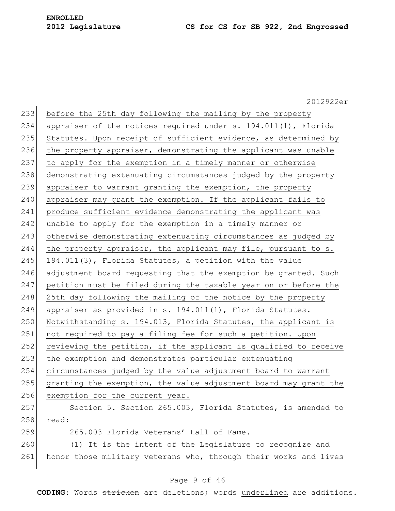2012922er 233 before the 25th day following the mailing by the property 234 appraiser of the notices required under s. 194.011(1), Florida 235 Statutes. Upon receipt of sufficient evidence, as determined by 236 the property appraiser, demonstrating the applicant was unable 237 to apply for the exemption in a timely manner or otherwise 238 demonstrating extenuating circumstances judged by the property 239 appraiser to warrant granting the exemption, the property 240 appraiser may grant the exemption. If the applicant fails to 241 produce sufficient evidence demonstrating the applicant was 242 unable to apply for the exemption in a timely manner or 243 otherwise demonstrating extenuating circumstances as judged by 244 the property appraiser, the applicant may file, pursuant to s. 245 194.011(3), Florida Statutes, a petition with the value 246 adjustment board requesting that the exemption be granted. Such 247 petition must be filed during the taxable year on or before the 248 25th day following the mailing of the notice by the property 249 appraiser as provided in s. 194.011(1), Florida Statutes. 250 Notwithstanding s. 194.013, Florida Statutes, the applicant is 251 not required to pay a filing fee for such a petition. Upon 252 reviewing the petition, if the applicant is qualified to receive 253 the exemption and demonstrates particular extenuating 254 circumstances judged by the value adjustment board to warrant 255 granting the exemption, the value adjustment board may grant the 256 exemption for the current year. 257 Section 5. Section 265.003, Florida Statutes, is amended to 258 read: 259 265.003 Florida Veterans" Hall of Fame.— 260 (1) It is the intent of the Legislature to recognize and 261 honor those military veterans who, through their works and lives

## Page 9 of 46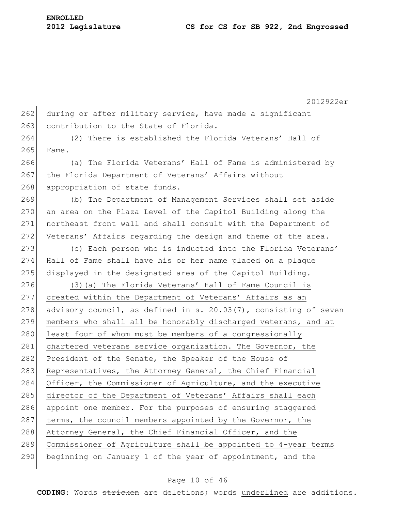2012922er 262 during or after military service, have made a significant 263 contribution to the State of Florida. 264 (2) There is established the Florida Veterans" Hall of  $265$  Fame. 266 (a) The Florida Veterans" Hall of Fame is administered by 267 the Florida Department of Veterans' Affairs without 268 appropriation of state funds. 269 (b) The Department of Management Services shall set aside 270 an area on the Plaza Level of the Capitol Building along the 271 northeast front wall and shall consult with the Department of 272 Veterans' Affairs regarding the design and theme of the area. 273 (c) Each person who is inducted into the Florida Veterans' 274 Hall of Fame shall have his or her name placed on a plaque 275 displayed in the designated area of the Capitol Building. 276 (3) (a) The Florida Veterans' Hall of Fame Council is 277 created within the Department of Veterans' Affairs as an 278 advisory council, as defined in s. 20.03(7), consisting of seven 279 members who shall all be honorably discharged veterans, and at 280 least four of whom must be members of a congressionally 281 chartered veterans service organization. The Governor, the 282 President of the Senate, the Speaker of the House of 283 Representatives, the Attorney General, the Chief Financial 284 Officer, the Commissioner of Agriculture, and the executive 285 director of the Department of Veterans' Affairs shall each 286 appoint one member. For the purposes of ensuring staggered 287 terms, the council members appointed by the Governor, the 288 Attorney General, the Chief Financial Officer, and the 289 Commissioner of Agriculture shall be appointed to 4-year terms 290 beginning on January 1 of the year of appointment, and the

#### Page 10 of 46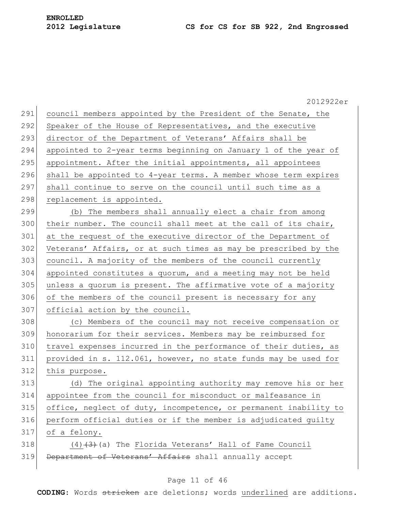2012922er 291 council members appointed by the President of the Senate, the 292 Speaker of the House of Representatives, and the executive 293 director of the Department of Veterans' Affairs shall be 294 appointed to 2-year terms beginning on January 1 of the year of 295 appointment. After the initial appointments, all appointees 296 shall be appointed to  $4$ -year terms. A member whose term expires 297 shall continue to serve on the council until such time as a 298 replacement is appointed. 299 (b) The members shall annually elect a chair from among 300 their number. The council shall meet at the call of its chair, 301 at the request of the executive director of the Department of 302 Veterans' Affairs, or at such times as may be prescribed by the 303 council. A majority of the members of the council currently 304 appointed constitutes a quorum, and a meeting may not be held 305 unless a quorum is present. The affirmative vote of a majority 306 of the members of the council present is necessary for any 307 official action by the council. 308 (c) Members of the council may not receive compensation or 309 honorarium for their services. Members may be reimbursed for 310 travel expenses incurred in the performance of their duties, as 311 provided in s. 112.061, however, no state funds may be used for 312 this purpose. 313 (d) The original appointing authority may remove his or her 314 appointee from the council for misconduct or malfeasance in 315 office, neglect of duty, incompetence, or permanent inability to 316 perform official duties or if the member is adjudicated guilty 317 of a felony. 318  $(4)$   $(3)$  (a) The Florida Veterans' Hall of Fame Council 319 Department of Veterans' Affairs shall annually accept

## Page 11 of 46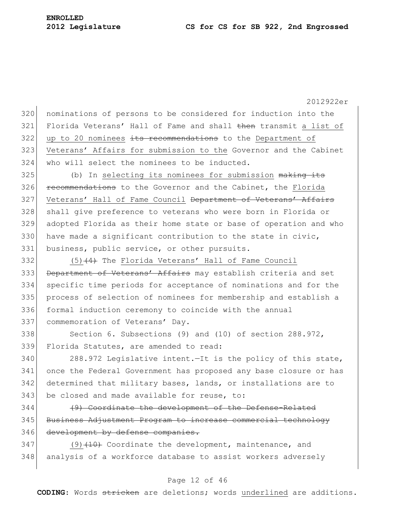2012922er 320 nominations of persons to be considered for induction into the 321 Florida Veterans' Hall of Fame and shall then transmit a list of  $322$  up to 20 nominees its recommendations to the Department of 323 Veterans" Affairs for submission to the Governor and the Cabinet 324 who will select the nominees to be inducted. 325 (b) In selecting its nominees for submission making its 326 **recommendations** to the Governor and the Cabinet, the Florida 327 Veterans' Hall of Fame Council Department of Veterans' Affairs 328 shall give preference to veterans who were born in Florida or 329 adopted Florida as their home state or base of operation and who 330 have made a significant contribution to the state in civic, 331 business, public service, or other pursuits. 332 (5)<del>(4)</del> The Florida Veterans' Hall of Fame Council 333 Department of Veterans' Affairs may establish criteria and set 334 specific time periods for acceptance of nominations and for the 335 process of selection of nominees for membership and establish a 336 formal induction ceremony to coincide with the annual 337 commemoration of Veterans' Day. 338 Section 6. Subsections (9) and (10) of section 288.972, 339 Florida Statutes, are amended to read: 340 288.972 Legislative intent.—It is the policy of this state, 341 once the Federal Government has proposed any base closure or has 342 determined that military bases, lands, or installations are to 343 be closed and made available for reuse, to: 344 (9) Coordinate the development of the Defense-Related 345 Business Adjustment Program to increase commercial technology 346 development by defense companies.  $347$  (9)<del>(10)</del> Coordinate the development, maintenance, and 348 analysis of a workforce database to assist workers adversely

#### Page 12 of 46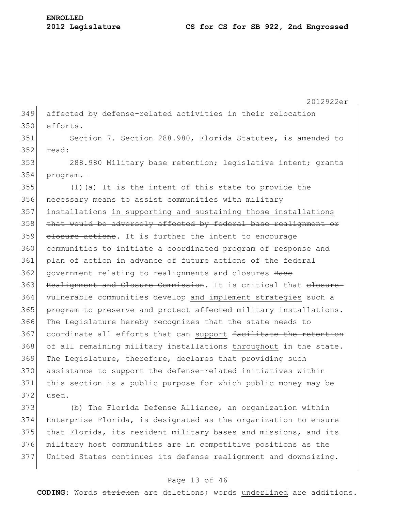349 affected by defense-related activities in their relocation 350 efforts.

351 Section 7. Section 288.980, Florida Statutes, is amended to  $352$  read:

353 288.980 Military base retention; legislative intent; grants 354 program.—

355 (1)(a) It is the intent of this state to provide the 356 necessary means to assist communities with military 357 installations in supporting and sustaining those installations 358 that would be adversely affected by federal base realignment or 359 closure actions. It is further the intent to encourage 360 communities to initiate a coordinated program of response and 361 plan of action in advance of future actions of the federal 362 government relating to realignments and closures Base 363 Realignment and Closure Commission. It is critical that elosure-364 vulnerable communities develop and implement strategies such a 365 program to preserve and protect affected military installations. 366 The Legislature hereby recognizes that the state needs to 367 coordinate all efforts that can support facilitate the retention 368 of all remaining military installations throughout in the state. 369 The Legislature, therefore, declares that providing such 370 assistance to support the defense-related initiatives within 371 this section is a public purpose for which public money may be 372 used.

 (b) The Florida Defense Alliance, an organization within Enterprise Florida, is designated as the organization to ensure that Florida, its resident military bases and missions, and its military host communities are in competitive positions as the United States continues its defense realignment and downsizing.

## Page 13 of 46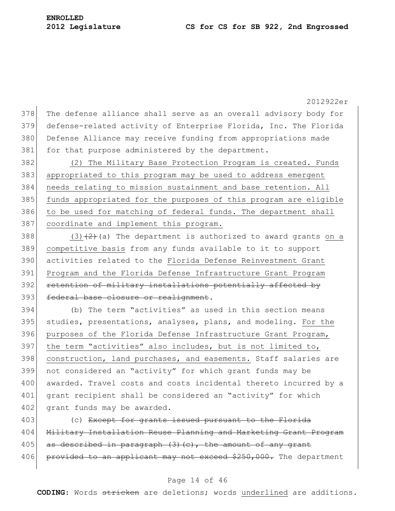378 The defense alliance shall serve as an overall advisory body for 379 defense-related activity of Enterprise Florida, Inc. The Florida 380 Defense Alliance may receive funding from appropriations made 381 for that purpose administered by the department.

382 (2) The Military Base Protection Program is created. Funds 383 appropriated to this program may be used to address emergent 384 needs relating to mission sustainment and base retention. All 385 funds appropriated for the purposes of this program are eligible 386 to be used for matching of federal funds. The department shall 387 coordinate and implement this program.

 $(3)(2)$  (3)  $(2)$  (a) The department is authorized to award grants on a competitive basis from any funds available to it to support activities related to the Florida Defense Reinvestment Grant Program and the Florida Defense Infrastructure Grant Program 392 retention of military installations potentially affected by 393 federal base closure or realignment.

394 (b) The term "activities" as used in this section means 395 studies, presentations, analyses, plans, and modeling. For the 396 purposes of the Florida Defense Infrastructure Grant Program, 397 the term "activities" also includes, but is not limited to, 398 construction, land purchases, and easements. Staff salaries are 399 not considered an "activity" for which grant funds may be 400 awarded. Travel costs and costs incidental thereto incurred by a 401 grant recipient shall be considered an "activity" for which 402 grant funds may be awarded.

403 (c) Except for grants issued pursuant to the Florida 404 Military Installation Reuse Planning and Marketing Grant Program 405 as described in paragraph  $(3)$  (c), the amount of any grant 406 provided to an applicant may not exceed \$250,000. The department

## Page 14 of 46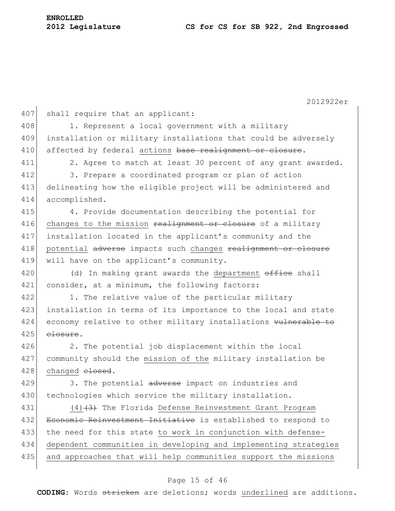|     | 2012922er                                                       |
|-----|-----------------------------------------------------------------|
| 407 | shall require that an applicant:                                |
| 408 | 1. Represent a local government with a military                 |
| 409 | installation or military installations that could be adversely  |
| 410 | affected by federal actions base realignment or closure.        |
| 411 | 2. Agree to match at least 30 percent of any grant awarded.     |
| 412 | 3. Prepare a coordinated program or plan of action              |
| 413 | delineating how the eligible project will be administered and   |
| 414 | accomplished.                                                   |
| 415 | 4. Provide documentation describing the potential for           |
| 416 | changes to the mission realignment or closure of a military     |
| 417 | installation located in the applicant's community and the       |
| 418 | potential adverse impacts such changes realignment or closure   |
| 419 | will have on the applicant's community.                         |
| 420 | In making grant awards the department office shall<br>(d)       |
| 421 | consider, at a minimum, the following factors:                  |
| 422 | 1. The relative value of the particular military                |
| 423 | installation in terms of its importance to the local and state  |
| 424 | economy relative to other military installations vulnerable to  |
| 425 | elosure.                                                        |
| 426 | 2. The potential job displacement within the local              |
| 427 | community should the mission of the military installation be    |
| 428 | changed elosed.                                                 |
| 429 | 3. The potential adverse impact on industries and               |
| 430 | technologies which service the military installation.           |
| 431 | $(4)$ $(3)$ The Florida Defense Reinvestment Grant Program      |
| 432 | Economic Reinvestment Initiative is established to respond to   |
| 433 | the need for this state to work in conjunction with defense-    |
| 434 | dependent communities in developing and implementing strategies |
| 435 | and approaches that will help communities support the missions  |
|     |                                                                 |

# Page 15 of 46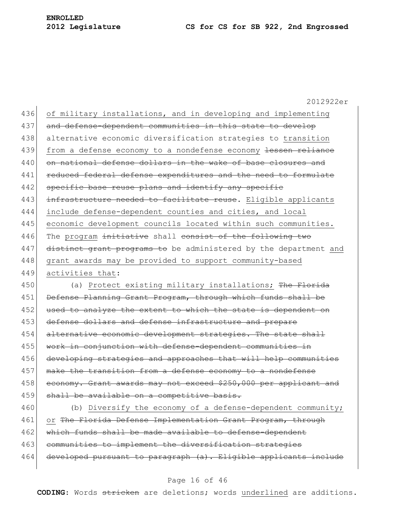2012922er 436 of military installations, and in developing and implementing 437 and defense-dependent communities in this state to develop 438 alternative economic diversification strategies to transition 439 from a defense economy to a nondefense economy lessen reliance 440 on national defense dollars in the wake of base closures and 441 reduced federal defense expenditures and the need to formulate 442 specific base reuse plans and identify any specific 443 infrastructure needed to facilitate reuse. Eligible applicants 444 include defense-dependent counties and cities, and local 445 economic development councils located within such communities. 446 The program initiative shall consist of the following two 447 distinct grant programs to be administered by the department and 448 grant awards may be provided to support community-based 449 activities that: 450 (a) Protect existing military installations; The Florida 451 Defense Planning Grant Program, through which funds shall be 452 used to analyze the extent to which the state is dependent on 453 defense dollars and defense infrastructure and prepare 454 alternative economic development strategies. The state shall 455 work in conjunction with defense-dependent communities in 456 developing strategies and approaches that will help communities

457 make the transition from a defense economy to a nondefense 458 economy. Grant awards may not exceed \$250,000 per applicant and 459 shall be available on a competitive basis.

460 (b) Diversify the economy of a defense-dependent community; 461 or The Florida Defense Implementation Grant Program, through 462 which funds shall be made available to defense-dependent 463 communities to implement the diversification strategies 464 developed pursuant to paragraph (a). Eligible applicants include

#### Page 16 of 46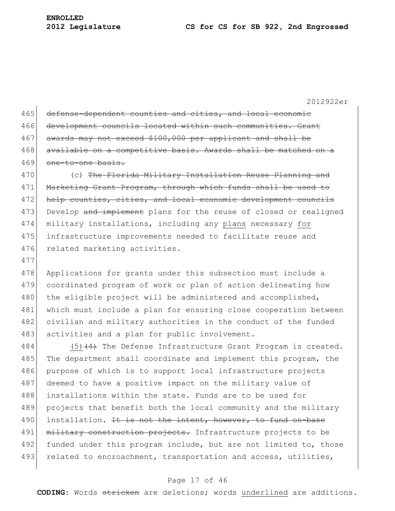476 related marketing activities.

2012922er

| 465 | defense-dependent counties and cities, and local economic        |
|-----|------------------------------------------------------------------|
| 466 | development councils located within such communities. Grant      |
| 467 | awards may not exceed \$100,000 per applicant and shall be       |
| 468 | available on a competitive basis. Awards shall be matched on a   |
| 469 | one-to-one basis.                                                |
| 470 | (c) The Florida Military Installation Reuse Planning and         |
| 471 | Marketing Grant Program, through which funds shall be used to    |
| 472 | help counties, cities, and local economic development councils   |
| 473 | Develop and implement plans for the reuse of closed or realigned |
| 474 | military installations, including any plans necessary for        |
| 475 | infrastructure improvements needed to facilitate reuse and       |

477 478 Applications for grants under this subsection must include a 479 coordinated program of work or plan of action delineating how 480 the eligible project will be administered and accomplished, 481 which must include a plan for ensuring close cooperation between 482 civilian and military authorities in the conduct of the funded

483 activities and a plan for public involvement.

484  $(5)$   $(4)$  The Defense Infrastructure Grant Program is created. 485 The department shall coordinate and implement this program, the 486 purpose of which is to support local infrastructure projects 487 deemed to have a positive impact on the military value of 488 installations within the state. Funds are to be used for 489 projects that benefit both the local community and the military 490 installation. It is not the intent, however, to fund on-base 491 military construction projects. Infrastructure projects to be 492 funded under this program include, but are not limited to, those 493 related to encroachment, transportation and access, utilities,

## Page 17 of 46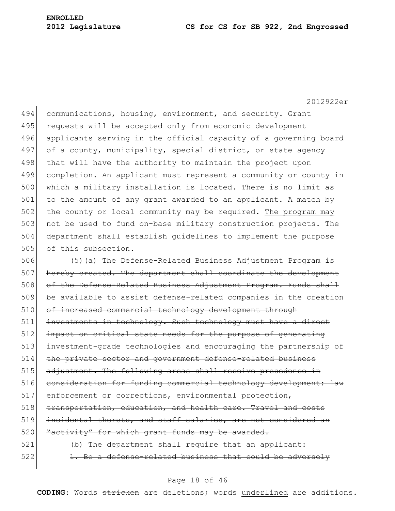2012922er

494 communications, housing, environment, and security. Grant 495 requests will be accepted only from economic development 496 applicants serving in the official capacity of a governing board 497 of a county, municipality, special district, or state agency 498 that will have the authority to maintain the project upon 499 completion. An applicant must represent a community or county in 500 which a military installation is located. There is no limit as 501 to the amount of any grant awarded to an applicant. A match by 502 the county or local community may be required. The program may 503 not be used to fund on-base military construction projects. The 504 department shall establish guidelines to implement the purpose 505 of this subsection.

 $506$  ( $\leftarrow$   $\leftarrow$   $\leftarrow$   $\leftarrow$  The Defense-Related Business Adjustment Program is 507 hereby created. The department shall coordinate the development 508 of the Defense-Related Business Adjustment Program. Funds shall 509 be available to assist defense-related companies in the creation 510 of increased commercial technology development through 511 investments in technology. Such technology must have a direct 512 impact on critical state needs for the purpose of generating 513 investment-grade technologies and encouraging the partnership of 514 the private sector and government defense-related business 515 adjustment. The following areas shall receive precedence in 516 consideration for funding commercial technology development: law 517 enforcement or corrections, environmental protection, 518 transportation, education, and health care. Travel and costs 519 incidental thereto, and staff salaries, are not considered an 520 Eactivity" for which grant funds may be awarded. 521 (b) The department shall require that an applicant:  $522$  1. Be a defense-related business that could be adversely

#### Page 18 of 46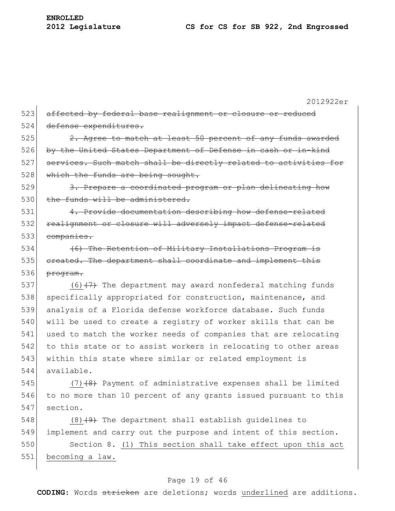2012922er 523 affected by federal base realignment or closure or reduced 524 defense expenditures.  $525$  2. Agree to match at least 50 percent of any funds awarded 526 by the United States Department of Defense in cash or in-kind 527 services. Such match shall be directly related to activities for 528 which the funds are being sought. 529 3. Prepare a coordinated program or plan delineating how 530 the funds will be administered. 531 4. Provide documentation describing how defense-related 532 realignment or closure will adversely impact defense-related 533 companies. 534 (6) The Retention of Military Installations Program is 535 created. The department shall coordinate and implement this 536 <del>program.</del> 537  $(6)$   $(7)$  The department may award nonfederal matching funds 538 specifically appropriated for construction, maintenance, and 539 analysis of a Florida defense workforce database. Such funds 540 will be used to create a registry of worker skills that can be 541 used to match the worker needs of companies that are relocating 542 to this state or to assist workers in relocating to other areas 543 within this state where similar or related employment is 544 available. 545  $(7)$   $(8)$  Payment of administrative expenses shall be limited 546 to no more than 10 percent of any grants issued pursuant to this 547 section. 548  $(8)$   $(9)$  The department shall establish guidelines to 549 implement and carry out the purpose and intent of this section. 550 Section 8. (1) This section shall take effect upon this act 551 becoming a law.

#### Page 19 of 46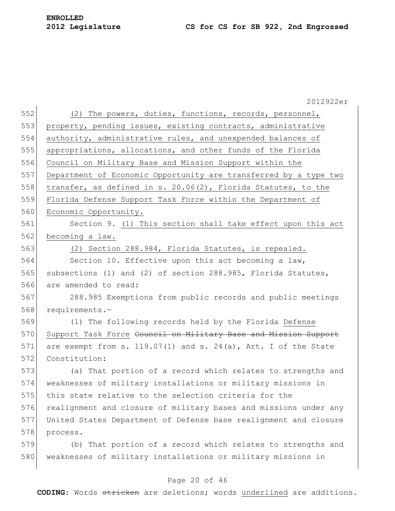2012922er 552 (2) The powers, duties, functions, records, personnel, 553 property, pending issues, existing contracts, administrative 554 authority, administrative rules, and unexpended balances of 555 appropriations, allocations, and other funds of the Florida 556 Council on Military Base and Mission Support within the 557 Department of Economic Opportunity are transferred by a type two 558 transfer, as defined in s. 20.06(2), Florida Statutes, to the 559 Florida Defense Support Task Force within the Department of 560 Economic Opportunity. 561 Section 9. (1) This section shall take effect upon this act 562 becoming a law. 563 (2) Section 288.984, Florida Statutes, is repealed. 564 Section 10. Effective upon this act becoming a law, 565 subsections (1) and (2) of section 288.985, Florida Statutes, 566 are amended to read: 567 288.985 Exemptions from public records and public meetings 568 requirements.— 569 (1) The following records held by the Florida Defense 570 Support Task Force Council on Military Base and Mission Support 571 are exempt from s.  $119.07(1)$  and s.  $24(a)$ , Art. I of the State 572 Constitution: 573 (a) That portion of a record which relates to strengths and 574 weaknesses of military installations or military missions in 575 this state relative to the selection criteria for the 576 realignment and closure of military bases and missions under any 577 United States Department of Defense base realignment and closure 578 process. 579 (b) That portion of a record which relates to strengths and 580 weaknesses of military installations or military missions in

## Page 20 of 46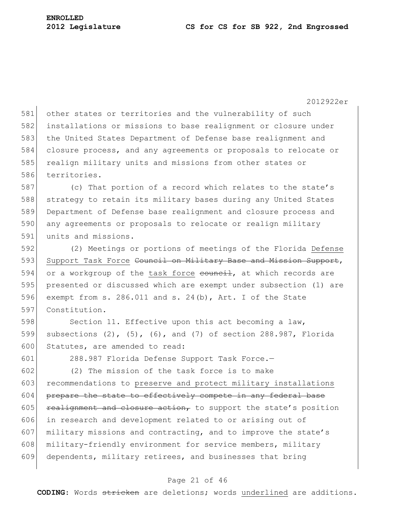581 other states or territories and the vulnerability of such 582 installations or missions to base realignment or closure under 583 the United States Department of Defense base realignment and 584 closure process, and any agreements or proposals to relocate or 585 realign military units and missions from other states or 586 territories.

587 (c) That portion of a record which relates to the state's 588 strategy to retain its military bases during any United States 589 Department of Defense base realignment and closure process and 590 any agreements or proposals to relocate or realign military 591 units and missions.

592 (2) Meetings or portions of meetings of the Florida Defense 593 Support Task Force Council on Military Base and Mission Support, 594 or a workgroup of the task force  $\frac{1}{1}$ , at which records are 595 presented or discussed which are exempt under subsection (1) are 596 exempt from s. 286.011 and s. 24(b), Art. I of the State 597 Constitution.

598 Section 11. Effective upon this act becoming a law, 599 subsections (2), (5), (6), and (7) of section 288.987, Florida 600 Statutes, are amended to read:

601 288.987 Florida Defense Support Task Force.—

 $602$  (2) The mission of the task force is to make 603 recommendations to preserve and protect military installations  $604$  prepare the state to effectively compete in any federal base 605 realignment and closure action, to support the state's position 606 in research and development related to or arising out of 607 military missions and contracting, and to improve the state's 608 military-friendly environment for service members, military 609 dependents, military retirees, and businesses that bring

## Page 21 of 46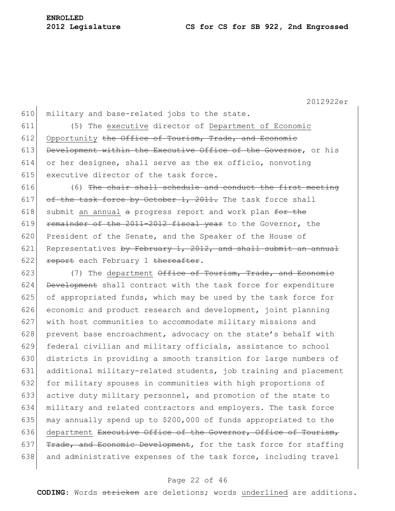610 military and base-related jobs to the state.

611 (5) The executive director of Department of Economic 612 Opportunity the Office of Tourism, Trade, and Economic 613 Development within the Executive Office of the Governor, or his 614 or her designee, shall serve as the ex officio, nonvoting 615 executive director of the task force.

616  $(6)$  The chair shall schedule and conduct the first meeting 617 of the task force by October 1, 2011. The task force shall 618 submit an annual a progress report and work plan  $f^{\text{def}}$  the 619 remainder of the  $2011-2012$  fiscal year to the Governor, the 620 President of the Senate, and the Speaker of the House of 621 Representatives by February 1, 2012, and shall submit an annual 622 report each February 1 thereafter.

623  $(7)$  The department Office of Tourism, Trade, and Economic 624 Development shall contract with the task force for expenditure 625 of appropriated funds, which may be used by the task force for 626 economic and product research and development, joint planning 627 with host communities to accommodate military missions and 628 prevent base encroachment, advocacy on the state's behalf with 629 federal civilian and military officials, assistance to school 630 districts in providing a smooth transition for large numbers of 631 additional military-related students, job training and placement 632 for military spouses in communities with high proportions of 633 active duty military personnel, and promotion of the state to 634 military and related contractors and employers. The task force 635 may annually spend up to  $$200,000$  of funds appropriated to the 636 department Executive Office of the Governor, Office of Tourism, 637  $r_{\text{trade, and Economic Development},$  for the task force for staffing 638 and administrative expenses of the task force, including travel

## Page 22 of 46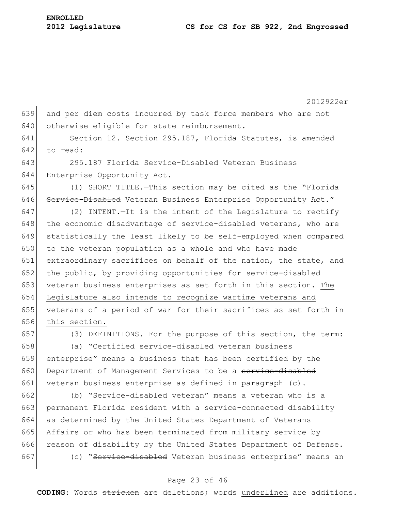2012922er 639 and per diem costs incurred by task force members who are not 640 otherwise eligible for state reimbursement. 641 Section 12. Section 295.187, Florida Statutes, is amended 642 to read: 643 295.187 Florida Service-Disabled Veteran Business 644 Enterprise Opportunity Act.— 645 (1) SHORT TITLE.—This section may be cited as the "Florida 646 Service-Disabled Veteran Business Enterprise Opportunity Act." 647 (2) INTENT.—It is the intent of the Legislature to rectify 648 the economic disadvantage of service-disabled veterans, who are 649 statistically the least likely to be self-employed when compared 650 to the veteran population as a whole and who have made 651 extraordinary sacrifices on behalf of the nation, the state, and 652 the public, by providing opportunities for service-disabled 653 veteran business enterprises as set forth in this section. The 654 Legislature also intends to recognize wartime veterans and 655 veterans of a period of war for their sacrifices as set forth in 656 this section.

657 (3) DEFINITIONS.—For the purpose of this section, the term: 658 (a) "Certified service-disabled veteran business

659 enterprise" means a business that has been certified by the 660 Department of Management Services to be a service-disabled 661 veteran business enterprise as defined in paragraph (c).

 (b) "Service-disabled veteran" means a veteran who is a permanent Florida resident with a service-connected disability as determined by the United States Department of Veterans Affairs or who has been terminated from military service by 666 reason of disability by the United States Department of Defense. 667 (c) "Service-disabled Veteran business enterprise" means an

#### Page 23 of 46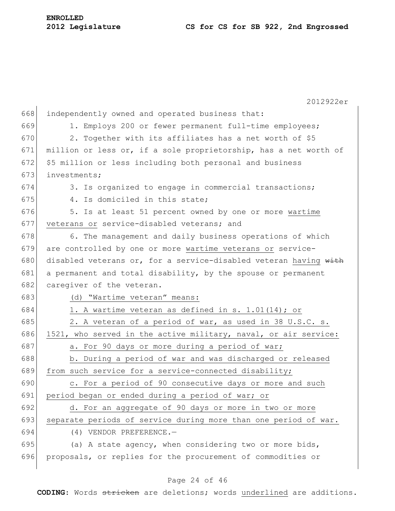|     | 2012922er                                                        |
|-----|------------------------------------------------------------------|
| 668 | independently owned and operated business that:                  |
| 669 | 1. Employs 200 or fewer permanent full-time employees;           |
| 670 | 2. Together with its affiliates has a net worth of \$5           |
| 671 | million or less or, if a sole proprietorship, has a net worth of |
| 672 | \$5 million or less including both personal and business         |
| 673 | investments;                                                     |
| 674 | 3. Is organized to engage in commercial transactions;            |
| 675 | 4. Is domiciled in this state;                                   |
| 676 | 5. Is at least 51 percent owned by one or more wartime           |
| 677 | veterans or service-disabled veterans; and                       |
| 678 | 6. The management and daily business operations of which         |
| 679 | are controlled by one or more wartime veterans or service-       |
| 680 | disabled veterans or, for a service-disabled veteran having with |
| 681 | a permanent and total disability, by the spouse or permanent     |
| 682 | caregiver of the veteran.                                        |
| 683 | (d) "Wartime veteran" means:                                     |
| 684 | 1. A wartime veteran as defined in s. 1.01(14); or               |
| 685 | 2. A veteran of a period of war, as used in 38 U.S.C. s.         |
| 686 | 1521, who served in the active military, naval, or air service:  |
| 687 | a. For 90 days or more during a period of war;                   |
| 688 | b. During a period of war and was discharged or released         |
| 689 | from such service for a service-connected disability;            |
| 690 | c. For a period of 90 consecutive days or more and such          |
| 691 | period began or ended during a period of war; or                 |
| 692 | d. For an aggregate of 90 days or more in two or more            |
| 693 | separate periods of service during more than one period of war.  |
| 694 | $(4)$ VENDOR PREFERENCE. -                                       |
| 695 | (a) A state agency, when considering two or more bids,           |
| 696 | proposals, or replies for the procurement of commodities or      |

# Page 24 of 46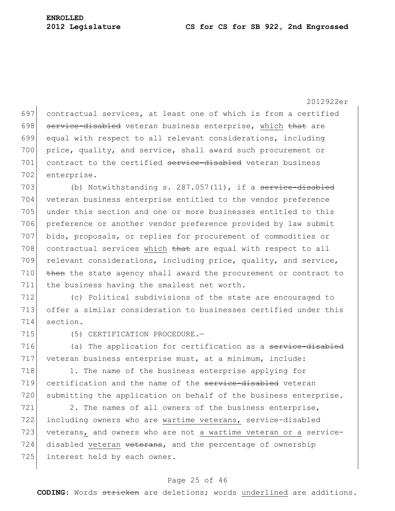697 contractual services, at least one of which is from a certified 698 service-disabled veteran business enterprise, which that are 699 equal with respect to all relevant considerations, including 700 price, quality, and service, shall award such procurement or 701 contract to the certified service-disabled veteran business 702 enterprise.

703 (b) Notwithstanding s.  $287.057(11)$ , if a service-disabled 704 veteran business enterprise entitled to the vendor preference 705 under this section and one or more businesses entitled to this 706 preference or another vendor preference provided by law submit 707 bids, proposals, or replies for procurement of commodities or 708 contractual services which that are equal with respect to all 709 relevant considerations, including price, quality, and service,  $710$  then the state agency shall award the procurement or contract to 711 the business having the smallest net worth.

712 (c) Political subdivisions of the state are encouraged to 713 offer a similar consideration to businesses certified under this 714 section.

715 (5) CERTIFICATION PROCEDURE.

716 (a) The application for certification as a service-disabled 717 veteran business enterprise must, at a minimum, include:

718 1. The name of the business enterprise applying for 719 certification and the name of the service-disabled veteran 720 submitting the application on behalf of the business enterprise.

721 2. The names of all owners of the business enterprise, 722 including owners who are wartime veterans, service-disabled 723 veterans, and owners who are not a wartime veteran or a service- $724$  disabled veteran  $\theta$  veterans, and the percentage of ownership 725 interest held by each owner.

## Page 25 of 46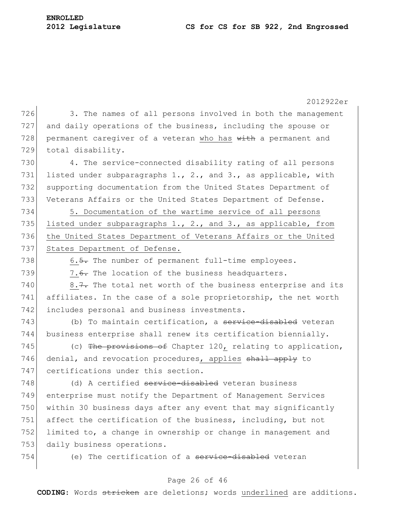**ENROLLED**

2012922er 726 3. The names of all persons involved in both the management 727 and daily operations of the business, including the spouse or 728 permanent caregiver of a veteran who has with a permanent and 729 total disability. 730 4. The service-connected disability rating of all persons 731 listed under subparagraphs 1., 2., and 3., as applicable, with 732 supporting documentation from the United States Department of 733 Veterans Affairs or the United States Department of Defense. 734 5. Documentation of the wartime service of all persons 735 listed under subparagraphs 1., 2., and 3., as applicable, from 736 the United States Department of Veterans Affairs or the United 737 States Department of Defense. 738  $\sim$  6.5. The number of permanent full-time employees. 739  $\vert$  7.6. The location of the business headquarters. 740  $\vert$  8.7. The total net worth of the business enterprise and its 741 affiliates. In the case of a sole proprietorship, the net worth 742 includes personal and business investments. 743 (b) To maintain certification, a service-disabled veteran 744 business enterprise shall renew its certification biennially. 745 (c) The provisions of Chapter 120, relating to application, 746 denial, and revocation procedures, applies shall apply to 747 certifications under this section. 748 (d) A certified service-disabled veteran business 749 enterprise must notify the Department of Management Services 750 within 30 business days after any event that may significantly 751 affect the certification of the business, including, but not 752 limited to, a change in ownership or change in management and 753 daily business operations. 754 (e) The certification of a <del>service-disabled</del> veteran

## Page 26 of 46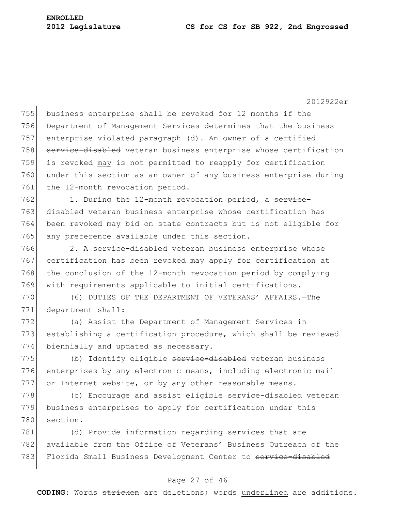755 business enterprise shall be revoked for 12 months if the 756 Department of Management Services determines that the business 757 enterprise violated paragraph (d). An owner of a certified 758 service-disabled veteran business enterprise whose certification 759 is revoked may  $\frac{1}{15}$  not permitted to reapply for certification 760 under this section as an owner of any business enterprise during 761 the 12-month revocation period.

762 1. During the 12-month revocation period, a service-763 disabled veteran business enterprise whose certification has 764 been revoked may bid on state contracts but is not eligible for 765 any preference available under this section.

766 2. A service-disabled veteran business enterprise whose 767 certification has been revoked may apply for certification at 768 the conclusion of the 12-month revocation period by complying 769 with requirements applicable to initial certifications.

770 (6) DUTIES OF THE DEPARTMENT OF VETERANS" AFFAIRS.—The 771 department shall:

772 (a) Assist the Department of Management Services in 773 establishing a certification procedure, which shall be reviewed 774 biennially and updated as necessary.

775 (b) Identify eligible service-disabled veteran business 776 enterprises by any electronic means, including electronic mail 777 or Internet website, or by any other reasonable means.

778 (c) Encourage and assist eligible service-disabled veteran 779 business enterprises to apply for certification under this 780 section.

781 (d) Provide information regarding services that are 782 available from the Office of Veterans' Business Outreach of the 783 Florida Small Business Development Center to service-disabled

#### Page 27 of 46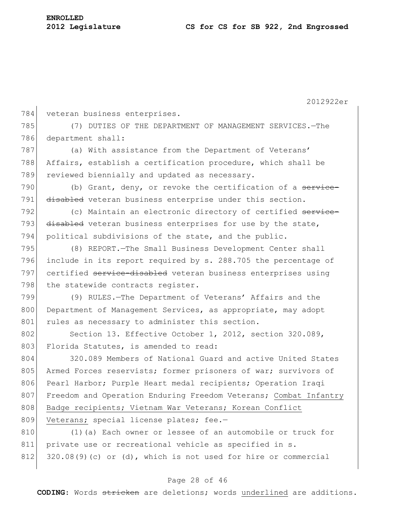2012922er 784 veteran business enterprises. 785 (7) DUTIES OF THE DEPARTMENT OF MANAGEMENT SERVICES.—The 786 department shall: 787 (a) With assistance from the Department of Veterans' 788 Affairs, establish a certification procedure, which shall be 789 reviewed biennially and updated as necessary. 790 (b) Grant, deny, or revoke the certification of a service-791 disabled veteran business enterprise under this section. 792 (c) Maintain an electronic directory of certified service-793 disabled veteran business enterprises for use by the state, 794 political subdivisions of the state, and the public. 795 (8) REPORT.—The Small Business Development Center shall 796 include in its report required by s. 288.705 the percentage of 797 certified service-disabled veteran business enterprises using 798 the statewide contracts register. 799 (9) RULES.—The Department of Veterans" Affairs and the 800 Department of Management Services, as appropriate, may adopt 801 rules as necessary to administer this section. 802 Section 13. Effective October 1, 2012, section 320.089, 803 Florida Statutes, is amended to read: 804 320.089 Members of National Guard and active United States 805 Armed Forces reservists; former prisoners of war; survivors of 806 Pearl Harbor; Purple Heart medal recipients; Operation Iraqi 807 Freedom and Operation Enduring Freedom Veterans; Combat Infantry 808 Badge recipients; Vietnam War Veterans; Korean Conflict 809 Veterans; special license plates; fee.-810 (1)(a) Each owner or lessee of an automobile or truck for 811 private use or recreational vehicle as specified in s.  $812$  320.08(9)(c) or (d), which is not used for hire or commercial

## Page 28 of 46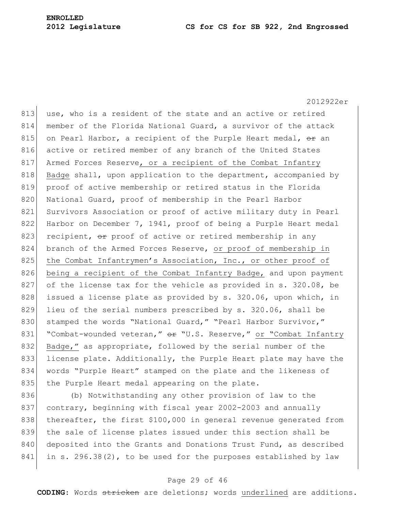2012922er 813 use, who is a resident of the state and an active or retired 814 member of the Florida National Guard, a survivor of the attack 815 on Pearl Harbor, a recipient of the Purple Heart medal,  $\Theta$  an 816 active or retired member of any branch of the United States 817 Armed Forces Reserve, or a recipient of the Combat Infantry 818 Badge shall, upon application to the department, accompanied by 819 proof of active membership or retired status in the Florida 820 National Guard, proof of membership in the Pearl Harbor 821 Survivors Association or proof of active military duty in Pearl 822 Harbor on December 7, 1941, proof of being a Purple Heart medal 823 recipient,  $\Theta$  proof of active or retired membership in any 824 branch of the Armed Forces Reserve, or proof of membership in 825 the Combat Infantrymen's Association, Inc., or other proof of 826 being a recipient of the Combat Infantry Badge, and upon payment 827 of the license tax for the vehicle as provided in s. 320.08, be 828 issued a license plate as provided by s. 320.06, upon which, in 829 lieu of the serial numbers prescribed by s. 320.06, shall be 830 stamped the words "National Guard," "Pearl Harbor Survivor," 831 "Combat-wounded veteran," or "U.S. Reserve," or "Combat Infantry 832 Badge," as appropriate, followed by the serial number of the 833 license plate. Additionally, the Purple Heart plate may have the 834 words "Purple Heart" stamped on the plate and the likeness of 835 the Purple Heart medal appearing on the plate.

836 (b) Notwithstanding any other provision of law to the 837 contrary, beginning with fiscal year 2002-2003 and annually 838 thereafter, the first \$100,000 in general revenue generated from 839 the sale of license plates issued under this section shall be 840 deposited into the Grants and Donations Trust Fund, as described  $841$  in s. 296.38(2), to be used for the purposes established by law

## Page 29 of 46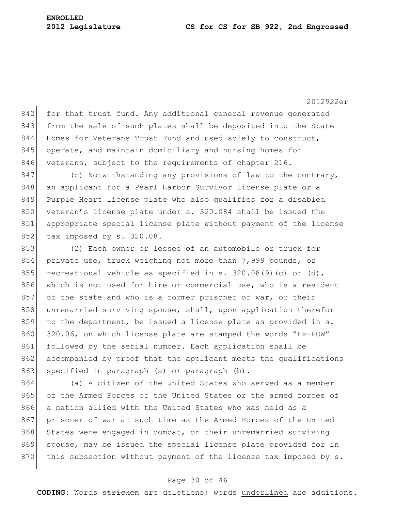842 for that trust fund. Any additional general revenue generated 843 from the sale of such plates shall be deposited into the State 844 Homes for Veterans Trust Fund and used solely to construct, 845 operate, and maintain domiciliary and nursing homes for 846 veterans, subject to the requirements of chapter 216.

847 (c) Notwithstanding any provisions of law to the contrary, 848 an applicant for a Pearl Harbor Survivor license plate or a 849 Purple Heart license plate who also qualifies for a disabled 850 veteran's license plate under s. 320.084 shall be issued the 851 appropriate special license plate without payment of the license 852 tax imposed by s. 320.08.

853 (2) Each owner or lessee of an automobile or truck for 854 private use, truck weighing not more than 7,999 pounds, or 855 recreational vehicle as specified in s. 320.08(9)(c) or (d), 856 which is not used for hire or commercial use, who is a resident 857 of the state and who is a former prisoner of war, or their 858 unremarried surviving spouse, shall, upon application therefor 859 to the department, be issued a license plate as provided in s. 860 320.06, on which license plate are stamped the words "Ex-POW" 861 followed by the serial number. Each application shall be 862 accompanied by proof that the applicant meets the qualifications 863 specified in paragraph (a) or paragraph (b).

864 (a) A citizen of the United States who served as a member 865 of the Armed Forces of the United States or the armed forces of 866 a nation allied with the United States who was held as a 867 prisoner of war at such time as the Armed Forces of the United 868 States were engaged in combat, or their unremarried surviving 869 spouse, may be issued the special license plate provided for in 870 this subsection without payment of the license tax imposed by s.

## Page 30 of 46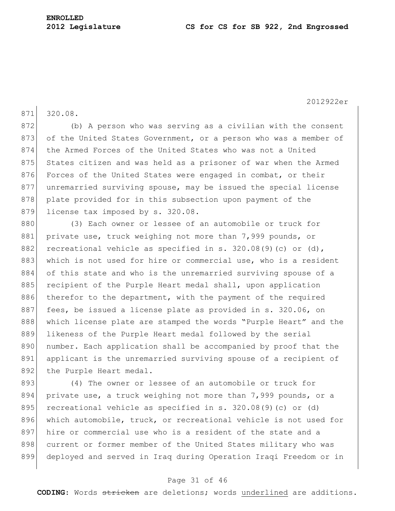871 320.08.

872 (b) A person who was serving as a civilian with the consent 873 of the United States Government, or a person who was a member of 874 the Armed Forces of the United States who was not a United 875 States citizen and was held as a prisoner of war when the Armed 876 Forces of the United States were engaged in combat, or their 877 unremarried surviving spouse, may be issued the special license 878 plate provided for in this subsection upon payment of the 879 license tax imposed by s. 320.08.

880 (3) Each owner or lessee of an automobile or truck for 881 private use, truck weighing not more than 7,999 pounds, or 882 recreational vehicle as specified in s. 320.08(9)(c) or (d), 883 which is not used for hire or commercial use, who is a resident 884 of this state and who is the unremarried surviving spouse of a 885 recipient of the Purple Heart medal shall, upon application 886 therefor to the department, with the payment of the required 887 fees, be issued a license plate as provided in s. 320.06, on 888 which license plate are stamped the words "Purple Heart" and the 889 likeness of the Purple Heart medal followed by the serial 890 number. Each application shall be accompanied by proof that the 891 applicant is the unremarried surviving spouse of a recipient of 892 the Purple Heart medal.

893 (4) The owner or lessee of an automobile or truck for 894 private use, a truck weighing not more than 7,999 pounds, or a 895 recreational vehicle as specified in s.  $320.08(9)(c)$  or (d) 896 which automobile, truck, or recreational vehicle is not used for 897 hire or commercial use who is a resident of the state and a 898 current or former member of the United States military who was 899 deployed and served in Iraq during Operation Iraqi Freedom or in

#### Page 31 of 46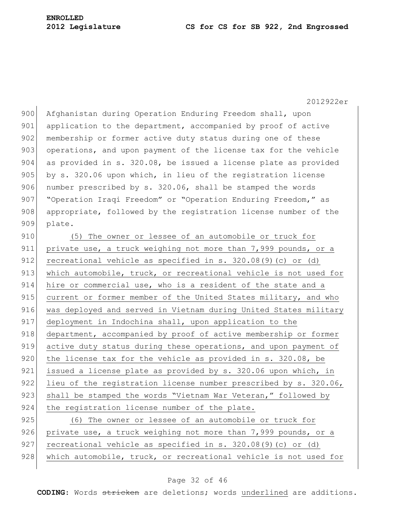900 Afghanistan during Operation Enduring Freedom shall, upon 901 application to the department, accompanied by proof of active 902 membership or former active duty status during one of these 903 operations, and upon payment of the license tax for the vehicle 904 as provided in s. 320.08, be issued a license plate as provided 905 by s. 320.06 upon which, in lieu of the registration license 906 number prescribed by s. 320.06, shall be stamped the words 907 "Operation Iraqi Freedom" or "Operation Enduring Freedom," as 908 appropriate, followed by the registration license number of the 909 plate.

910 (5) The owner or lessee of an automobile or truck for 911 private use, a truck weighing not more than 7,999 pounds, or a 912 recreational vehicle as specified in s. 320.08(9)(c) or (d) 913 which automobile, truck, or recreational vehicle is not used for 914 hire or commercial use, who is a resident of the state and a 915 current or former member of the United States military, and who 916 was deployed and served in Vietnam during United States military 917 deployment in Indochina shall, upon application to the 918 department, accompanied by proof of active membership or former 919 active duty status during these operations, and upon payment of 920 the license tax for the vehicle as provided in s. 320.08, be 921 issued a license plate as provided by s. 320.06 upon which, in 922 lieu of the registration license number prescribed by s. 320.06, 923 shall be stamped the words "Vietnam War Veteran," followed by 924 the registration license number of the plate.

925 (6) The owner or lessee of an automobile or truck for 926 private use, a truck weighing not more than 7,999 pounds, or a 927 recreational vehicle as specified in s. 320.08(9)(c) or (d) 928 which automobile, truck, or recreational vehicle is not used for

## Page 32 of 46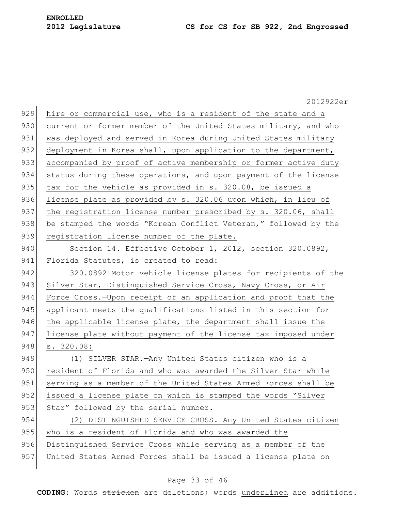|     | 2012922er                                                       |
|-----|-----------------------------------------------------------------|
| 929 | hire or commercial use, who is a resident of the state and a    |
| 930 | current or former member of the United States military, and who |
| 931 | was deployed and served in Korea during United States military  |
| 932 | deployment in Korea shall, upon application to the department,  |
| 933 | accompanied by proof of active membership or former active duty |
| 934 | status during these operations, and upon payment of the license |
| 935 | tax for the vehicle as provided in s. 320.08, be issued a       |
| 936 | license plate as provided by s. 320.06 upon which, in lieu of   |
| 937 | the registration license number prescribed by s. 320.06, shall  |
| 938 | be stamped the words "Korean Conflict Veteran," followed by the |
| 939 | registration license number of the plate.                       |
| 940 | Section 14. Effective October 1, 2012, section 320.0892,        |
| 941 | Florida Statutes, is created to read:                           |
| 942 | 320.0892 Motor vehicle license plates for recipients of the     |
| 943 | Silver Star, Distinguished Service Cross, Navy Cross, or Air    |
| 944 | Force Cross.-Upon receipt of an application and proof that the  |
| 945 | applicant meets the qualifications listed in this section for   |
| 946 | the applicable license plate, the department shall issue the    |
| 947 | license plate without payment of the license tax imposed under  |
| 948 | s. 320.08:                                                      |
| 949 | (1) SILVER STAR. - Any United States citizen who is a           |
| 950 | resident of Florida and who was awarded the Silver Star while   |
| 951 | serving as a member of the United States Armed Forces shall be  |
| 952 | issued a license plate on which is stamped the words "Silver    |
| 953 | Star" followed by the serial number.                            |
| 954 | (2) DISTINGUISHED SERVICE CROSS. - Any United States citizen    |
| 955 | who is a resident of Florida and who was awarded the            |
| 956 | Distinguished Service Cross while serving as a member of the    |
| 957 | United States Armed Forces shall be issued a license plate on   |
|     |                                                                 |

# Page 33 of 46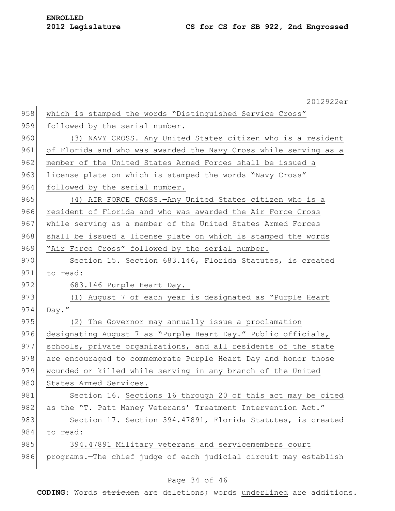|     | 2012922er                                                        |
|-----|------------------------------------------------------------------|
| 958 | which is stamped the words "Distinguished Service Cross"         |
| 959 | followed by the serial number.                                   |
| 960 | (3) NAVY CROSS. — Any United States citizen who is a resident    |
| 961 | of Florida and who was awarded the Navy Cross while serving as a |
| 962 | member of the United States Armed Forces shall be issued a       |
| 963 | license plate on which is stamped the words "Navy Cross"         |
| 964 | followed by the serial number.                                   |
| 965 | (4) AIR FORCE CROSS. - Any United States citizen who is a        |
| 966 | resident of Florida and who was awarded the Air Force Cross      |
| 967 | while serving as a member of the United States Armed Forces      |
| 968 | shall be issued a license plate on which is stamped the words    |
| 969 | "Air Force Cross" followed by the serial number.                 |
| 970 | Section 15. Section 683.146, Florida Statutes, is created        |
| 971 | to read:                                                         |
| 972 | 683.146 Purple Heart Day.-                                       |
| 973 | (1) August 7 of each year is designated as "Purple Heart         |
| 974 | $Day.$ "                                                         |
| 975 | (2) The Governor may annually issue a proclamation               |
| 976 | designating August 7 as "Purple Heart Day." Public officials,    |
| 977 | schools, private organizations, and all residents of the state   |
| 978 | are encouraged to commemorate Purple Heart Day and honor those   |
| 979 | wounded or killed while serving in any branch of the United      |
| 980 | States Armed Services.                                           |
| 981 | Section 16. Sections 16 through 20 of this act may be cited      |
| 982 | as the "T. Patt Maney Veterans' Treatment Intervention Act."     |
| 983 | Section 17. Section 394.47891, Florida Statutes, is created      |
| 984 | to read:                                                         |
| 985 | 394.47891 Military veterans and servicemembers court             |
| 986 | programs. The chief judge of each judicial circuit may establish |
|     |                                                                  |

# Page 34 of 46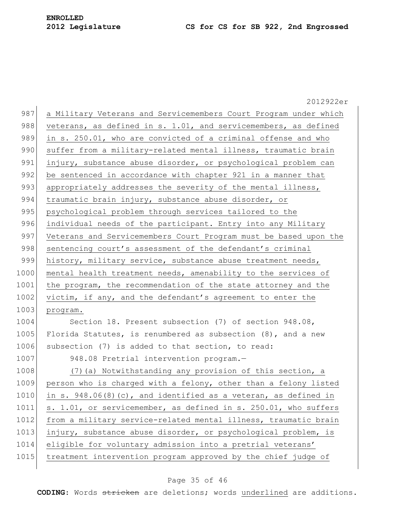2012922er 987 a Military Veterans and Servicemembers Court Program under which 988 veterans, as defined in s. 1.01, and servicemembers, as defined 989 in s. 250.01, who are convicted of a criminal offense and who 990 suffer from a military-related mental illness, traumatic brain 991 injury, substance abuse disorder, or psychological problem can 992 be sentenced in accordance with chapter 921 in a manner that 993 appropriately addresses the severity of the mental illness, 994 traumatic brain injury, substance abuse disorder, or 995 psychological problem through services tailored to the 996 individual needs of the participant. Entry into any Military 997 Veterans and Servicemembers Court Program must be based upon the 998 sentencing court's assessment of the defendant's criminal 999 history, military service, substance abuse treatment needs, 1000 mental health treatment needs, amenability to the services of 1001 the program, the recommendation of the state attorney and the 1002 victim, if any, and the defendant's agreement to enter the 1003 program. 1004 Section 18. Present subsection (7) of section 948.08, 1005 Florida Statutes, is renumbered as subsection  $(8)$ , and a new 1006 subsection (7) is added to that section, to read: 1007 948.08 Pretrial intervention program. 1008 (7)(a) Notwithstanding any provision of this section, a 1009 person who is charged with a felony, other than a felony listed 1010 in s. 948.06(8)(c), and identified as a veteran, as defined in 1011 s. 1.01, or servicemember, as defined in s. 250.01, who suffers 1012 from a military service-related mental illness, traumatic brain 1013 injury, substance abuse disorder, or psychological problem, is 1014 eligible for voluntary admission into a pretrial veterans' 1015 treatment intervention program approved by the chief judge of

#### Page 35 of 46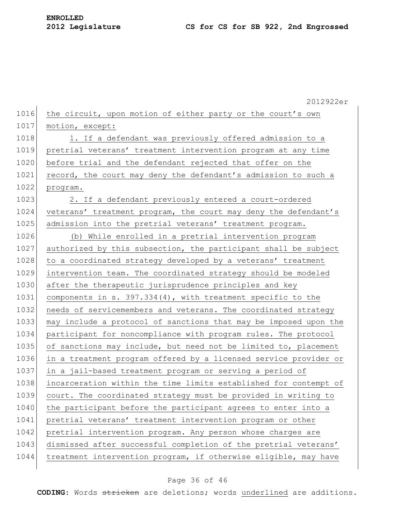|      | 2012922er                                                        |
|------|------------------------------------------------------------------|
| 1016 | the circuit, upon motion of either party or the court's own      |
| 1017 | motion, except:                                                  |
| 1018 | 1. If a defendant was previously offered admission to a          |
| 1019 | pretrial veterans' treatment intervention program at any time    |
| 1020 | before trial and the defendant rejected that offer on the        |
| 1021 | record, the court may deny the defendant's admission to such a   |
| 1022 | program.                                                         |
| 1023 | 2. If a defendant previously entered a court-ordered             |
| 1024 | veterans' treatment program, the court may deny the defendant's  |
| 1025 | admission into the pretrial veterans' treatment program.         |
| 1026 | (b) While enrolled in a pretrial intervention program            |
| 1027 | authorized by this subsection, the participant shall be subject  |
| 1028 | to a coordinated strategy developed by a veterans' treatment     |
| 1029 | intervention team. The coordinated strategy should be modeled    |
| 1030 | after the therapeutic jurisprudence principles and key           |
| 1031 | components in $s. 397.334(4)$ , with treatment specific to the   |
| 1032 | needs of servicemembers and veterans. The coordinated strategy   |
| 1033 | may include a protocol of sanctions that may be imposed upon the |
| 1034 | participant for noncompliance with program rules. The protocol   |
| 1035 | of sanctions may include, but need not be limited to, placement  |
| 1036 | in a treatment program offered by a licensed service provider or |
| 1037 | in a jail-based treatment program or serving a period of         |
| 1038 | incarceration within the time limits established for contempt of |
| 1039 | court. The coordinated strategy must be provided in writing to   |
| 1040 | the participant before the participant agrees to enter into a    |
| 1041 | pretrial veterans' treatment intervention program or other       |
| 1042 | pretrial intervention program. Any person whose charges are      |
| 1043 | dismissed after successful completion of the pretrial veterans'  |
| 1044 | treatment intervention program, if otherwise eligible, may have  |

# Page 36 of 46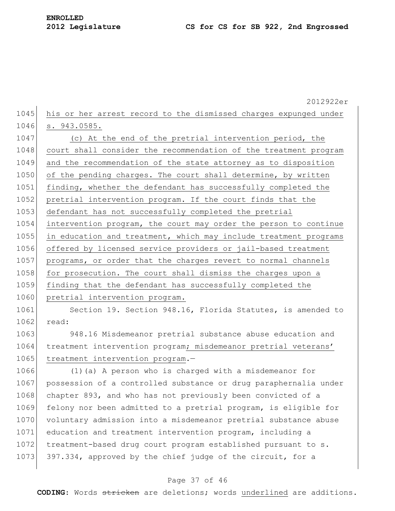2012922er 1045 his or her arrest record to the dismissed charges expunged under 1046 s. 943.0585. 1047 (c) At the end of the pretrial intervention period, the 1048 court shall consider the recommendation of the treatment program 1049 and the recommendation of the state attorney as to disposition 1050 of the pending charges. The court shall determine, by written 1051 finding, whether the defendant has successfully completed the 1052 pretrial intervention program. If the court finds that the 1053 defendant has not successfully completed the pretrial 1054 intervention program, the court may order the person to continue 1055 in education and treatment, which may include treatment programs 1056 offered by licensed service providers or jail-based treatment 1057 programs, or order that the charges revert to normal channels 1058 for prosecution. The court shall dismiss the charges upon a 1059 finding that the defendant has successfully completed the 1060 pretrial intervention program. 1061 Section 19. Section 948.16, Florida Statutes, is amended to 1062 read: 1063 948.16 Misdemeanor pretrial substance abuse education and 1064 treatment intervention program; misdemeanor pretrial veterans' 1065 treatment intervention program.-1066 (1)(a) A person who is charged with a misdemeanor for 1067 possession of a controlled substance or drug paraphernalia under 1068 chapter 893, and who has not previously been convicted of a 1069 felony nor been admitted to a pretrial program, is eligible for 1070 voluntary admission into a misdemeanor pretrial substance abuse 1071 education and treatment intervention program, including a 1072 treatment-based drug court program established pursuant to s. 1073 397.334, approved by the chief judge of the circuit, for a

## Page 37 of 46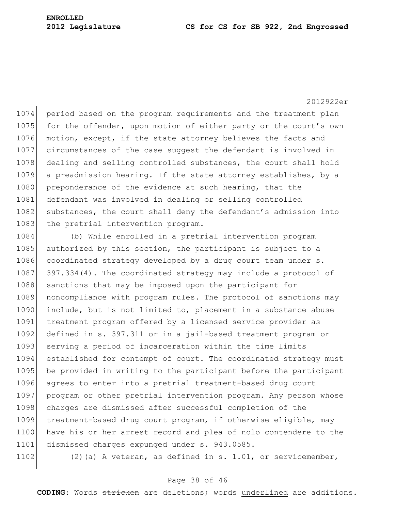1074 period based on the program requirements and the treatment plan 1075 for the offender, upon motion of either party or the court's own 1076 motion, except, if the state attorney believes the facts and 1077 circumstances of the case suggest the defendant is involved in 1078 dealing and selling controlled substances, the court shall hold 1079 a preadmission hearing. If the state attorney establishes, by a 1080 preponderance of the evidence at such hearing, that the 1081 defendant was involved in dealing or selling controlled 1082 substances, the court shall deny the defendant's admission into 1083 the pretrial intervention program.

1084 (b) While enrolled in a pretrial intervention program 1085 authorized by this section, the participant is subject to a 1086 coordinated strategy developed by a drug court team under s. 1087 397.334(4). The coordinated strategy may include a protocol of 1088 sanctions that may be imposed upon the participant for 1089 noncompliance with program rules. The protocol of sanctions may 1090 include, but is not limited to, placement in a substance abuse 1091 treatment program offered by a licensed service provider as 1092 defined in s. 397.311 or in a jail-based treatment program or 1093 serving a period of incarceration within the time limits 1094 established for contempt of court. The coordinated strategy must 1095 be provided in writing to the participant before the participant 1096 agrees to enter into a pretrial treatment-based drug court 1097 program or other pretrial intervention program. Any person whose 1098 charges are dismissed after successful completion of the 1099 treatment-based drug court program, if otherwise eligible, may 1100 have his or her arrest record and plea of nolo contendere to the 1101 dismissed charges expunged under s. 943.0585.

1102 (2)(a) A veteran, as defined in s. 1.01, or servicemember,

#### Page 38 of 46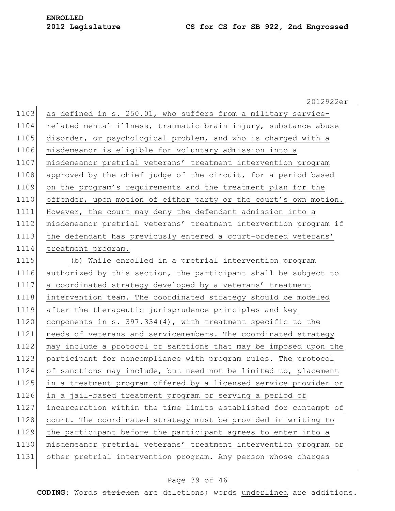2012922er 1103 as defined in s. 250.01, who suffers from a military service-1104 related mental illness, traumatic brain injury, substance abuse 1105 disorder, or psychological problem, and who is charged with a 1106 misdemeanor is eligible for voluntary admission into a 1107 misdemeanor pretrial veterans" treatment intervention program 1108 approved by the chief judge of the circuit, for a period based 1109 on the program"s requirements and the treatment plan for the 1110 offender, upon motion of either party or the court's own motion. 1111 However, the court may deny the defendant admission into a 1112 misdemeanor pretrial veterans' treatment intervention program if 1113 the defendant has previously entered a court-ordered veterans' 1114 treatment program. 1115 (b) While enrolled in a pretrial intervention program 1116 authorized by this section, the participant shall be subject to 1117 a coordinated strategy developed by a veterans' treatment 1118 intervention team. The coordinated strategy should be modeled 1119 after the therapeutic jurisprudence principles and key 1120 components in s. 397.334(4), with treatment specific to the 1121 needs of veterans and servicemembers. The coordinated strategy 1122 may include a protocol of sanctions that may be imposed upon the 1123 participant for noncompliance with program rules. The protocol 1124 of sanctions may include, but need not be limited to, placement 1125 in a treatment program offered by a licensed service provider or 1126 in a jail-based treatment program or serving a period of 1127 incarceration within the time limits established for contempt of 1128 court. The coordinated strategy must be provided in writing to 1129 the participant before the participant agrees to enter into a 1130 | misdemeanor pretrial veterans' treatment intervention program or 1131 other pretrial intervention program. Any person whose charges

#### Page 39 of 46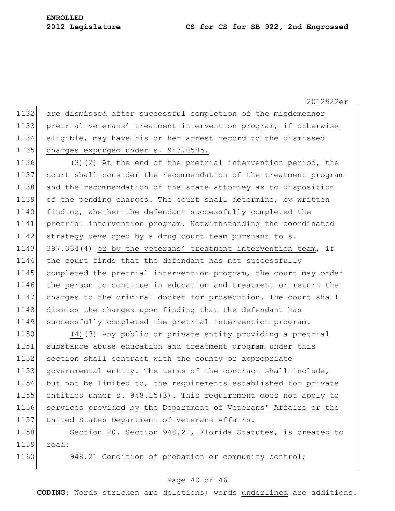are dismissed after successful completion of the misdemeanor pretrial veterans" treatment intervention program, if otherwise eligible, may have his or her arrest record to the dismissed 1135 charges expunged under s. 943.0585.

1136 (3) $(2)$  At the end of the pretrial intervention period, the 1137 court shall consider the recommendation of the treatment program 1138 and the recommendation of the state attorney as to disposition 1139 of the pending charges. The court shall determine, by written 1140 finding, whether the defendant successfully completed the 1141 pretrial intervention program. Notwithstanding the coordinated 1142 strategy developed by a drug court team pursuant to s. 1143 397.334(4) or by the veterans' treatment intervention team, if 1144 the court finds that the defendant has not successfully 1145 completed the pretrial intervention program, the court may order 1146 the person to continue in education and treatment or return the 1147 charges to the criminal docket for prosecution. The court shall 1148 dismiss the charges upon finding that the defendant has 1149 successfully completed the pretrial intervention program.

1150 (4) $(4)$  Any public or private entity providing a pretrial 1151 substance abuse education and treatment program under this 1152 section shall contract with the county or appropriate 1153 governmental entity. The terms of the contract shall include, 1154 but not be limited to, the requirements established for private 1155 entities under s. 948.15(3). This requirement does not apply to 1156 services provided by the Department of Veterans' Affairs or the 1157 United States Department of Veterans Affairs.

1158 Section 20. Section 948.21, Florida Statutes, is created to 1159 read:

1160 948.21 Condition of probation or community control;

## Page 40 of 46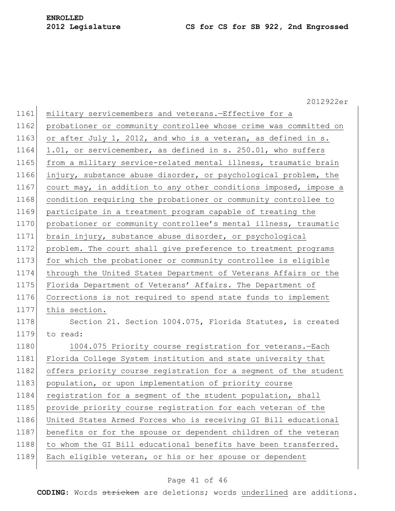2012922er 1161 military servicemembers and veterans.-Effective for a 1162 probationer or community controllee whose crime was committed on 1163 or after July 1, 2012, and who is a veteran, as defined in s. 1164 1.01, or servicemember, as defined in s. 250.01, who suffers 1165 from a military service-related mental illness, traumatic brain 1166 injury, substance abuse disorder, or psychological problem, the 1167 court may, in addition to any other conditions imposed, impose a 1168 condition requiring the probationer or community controllee to 1169 participate in a treatment program capable of treating the 1170 probationer or community controllee's mental illness, traumatic 1171 brain injury, substance abuse disorder, or psychological 1172 problem. The court shall give preference to treatment programs 1173 for which the probationer or community controllee is eligible 1174 through the United States Department of Veterans Affairs or the 1175 Florida Department of Veterans' Affairs. The Department of 1176 Corrections is not required to spend state funds to implement 1177 this section. 1178 Section 21. Section 1004.075, Florida Statutes, is created 1179 to read: 1180 1004.075 Priority course registration for veterans.-Each 1181 Florida College System institution and state university that 1182 offers priority course registration for a segment of the student 1183 population, or upon implementation of priority course 1184 registration for a segment of the student population, shall 1185 provide priority course registration for each veteran of the 1186 United States Armed Forces who is receiving GI Bill educational 1187 benefits or for the spouse or dependent children of the veteran 1188 to whom the GI Bill educational benefits have been transferred. 1189 Each eligible veteran, or his or her spouse or dependent

## Page 41 of 46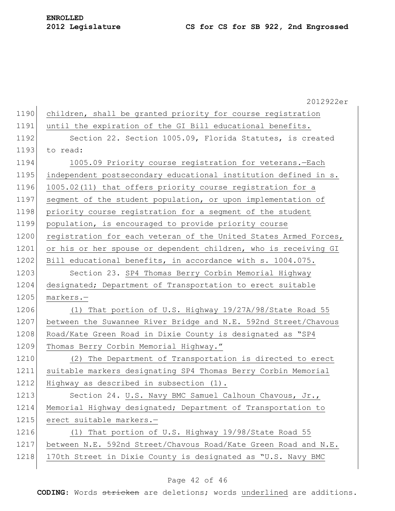|      | 2012922er                                                        |
|------|------------------------------------------------------------------|
| 1190 | children, shall be granted priority for course registration      |
| 1191 | until the expiration of the GI Bill educational benefits.        |
| 1192 | Section 22. Section 1005.09, Florida Statutes, is created        |
| 1193 | to read:                                                         |
| 1194 | 1005.09 Priority course registration for veterans.-Each          |
| 1195 | independent postsecondary educational institution defined in s.  |
| 1196 | 1005.02(11) that offers priority course registration for a       |
| 1197 | segment of the student population, or upon implementation of     |
| 1198 | priority course registration for a segment of the student        |
| 1199 | population, is encouraged to provide priority course             |
| 1200 | registration for each veteran of the United States Armed Forces, |
| 1201 | or his or her spouse or dependent children, who is receiving GI  |
| 1202 | Bill educational benefits, in accordance with s. 1004.075.       |
| 1203 | Section 23. SP4 Thomas Berry Corbin Memorial Highway             |
| 1204 | designated; Department of Transportation to erect suitable       |
| 1205 | markers.-                                                        |
| 1206 | (1) That portion of U.S. Highway 19/27A/98/State Road 55         |
| 1207 | between the Suwannee River Bridge and N.E. 592nd Street/Chavous  |
| 1208 | Road/Kate Green Road in Dixie County is designated as "SP4       |
| 1209 | Thomas Berry Corbin Memorial Highway."                           |
| 1210 | The Department of Transportation is directed to erect<br>(2)     |
| 1211 | suitable markers designating SP4 Thomas Berry Corbin Memorial    |
| 1212 | Highway as described in subsection (1).                          |
| 1213 | Section 24. U.S. Navy BMC Samuel Calhoun Chavous, Jr.,           |
| 1214 | Memorial Highway designated; Department of Transportation to     |
| 1215 | erect suitable markers.-                                         |
| 1216 | (1) That portion of U.S. Highway 19/98/State Road 55             |
| 1217 | between N.E. 592nd Street/Chavous Road/Kate Green Road and N.E.  |
| 1218 | 170th Street in Dixie County is designated as "U.S. Navy BMC     |
|      |                                                                  |

# Page 42 of 46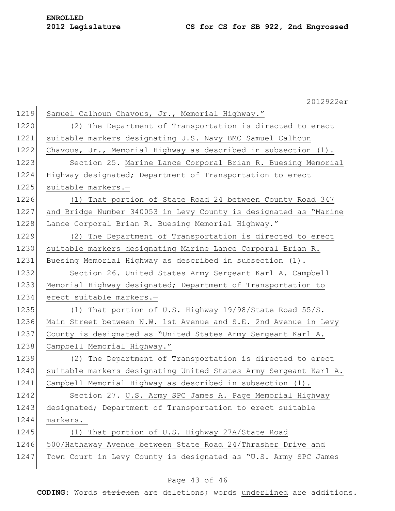|      | 2012922er                                                         |
|------|-------------------------------------------------------------------|
| 1219 | Samuel Calhoun Chavous, Jr., Memorial Highway."                   |
| 1220 | (2) The Department of Transportation is directed to erect         |
| 1221 | suitable markers designating U.S. Navy BMC Samuel Calhoun         |
| 1222 | Chavous, Jr., Memorial Highway as described in subsection $(1)$ . |
| 1223 | Section 25. Marine Lance Corporal Brian R. Buesing Memorial       |
| 1224 | Highway designated; Department of Transportation to erect         |
| 1225 | suitable markers.-                                                |
| 1226 | (1) That portion of State Road 24 between County Road 347         |
| 1227 | and Bridge Number 340053 in Levy County is designated as "Marine  |
| 1228 | Lance Corporal Brian R. Buesing Memorial Highway."                |
| 1229 | (2) The Department of Transportation is directed to erect         |
| 1230 | suitable markers designating Marine Lance Corporal Brian R.       |
| 1231 | Buesing Memorial Highway as described in subsection (1).          |
| 1232 | Section 26. United States Army Sergeant Karl A. Campbell          |
| 1233 | Memorial Highway designated; Department of Transportation to      |
| 1234 | erect suitable markers.-                                          |
| 1235 | (1) That portion of U.S. Highway 19/98/State Road 55/S.           |
| 1236 | Main Street between N.W. 1st Avenue and S.E. 2nd Avenue in Levy   |
| 1237 | County is designated as "United States Army Sergeant Karl A.      |
| 1238 | Campbell Memorial Highway."                                       |
| 1239 | (2) The Department of Transportation is directed to erect         |
| 1240 | suitable markers designating United States Army Sergeant Karl A.  |
| 1241 | Campbell Memorial Highway as described in subsection (1).         |
| 1242 | Section 27. U.S. Army SPC James A. Page Memorial Highway          |
| 1243 | designated; Department of Transportation to erect suitable        |
| 1244 | markers.-                                                         |
| 1245 | (1) That portion of U.S. Highway 27A/State Road                   |
| 1246 | 500/Hathaway Avenue between State Road 24/Thrasher Drive and      |
| 1247 | Town Court in Levy County is designated as "U.S. Army SPC James   |
|      |                                                                   |

# Page 43 of 46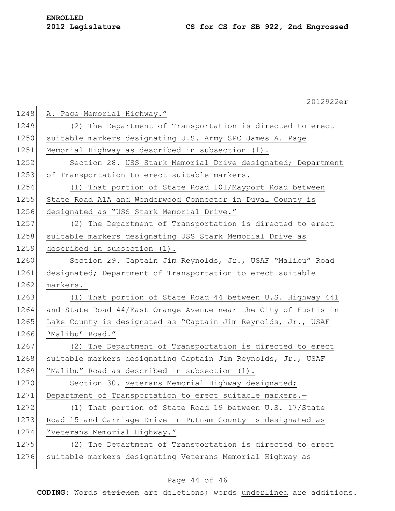|      | 2012922er                                                       |
|------|-----------------------------------------------------------------|
| 1248 | A. Page Memorial Highway."                                      |
| 1249 | (2) The Department of Transportation is directed to erect       |
| 1250 | suitable markers designating U.S. Army SPC James A. Page        |
| 1251 | Memorial Highway as described in subsection (1).                |
| 1252 | Section 28. USS Stark Memorial Drive designated; Department     |
| 1253 | of Transportation to erect suitable markers.-                   |
| 1254 | (1) That portion of State Road 101/Mayport Road between         |
| 1255 | State Road A1A and Wonderwood Connector in Duval County is      |
| 1256 | designated as "USS Stark Memorial Drive."                       |
| 1257 | (2) The Department of Transportation is directed to erect       |
| 1258 | suitable markers designating USS Stark Memorial Drive as        |
| 1259 | described in subsection (1).                                    |
| 1260 | Section 29. Captain Jim Reynolds, Jr., USAF "Malibu" Road       |
| 1261 | designated; Department of Transportation to erect suitable      |
| 1262 | markers.-                                                       |
| 1263 | (1) That portion of State Road 44 between U.S. Highway 441      |
| 1264 | and State Road 44/East Orange Avenue near the City of Eustis in |
| 1265 | Lake County is designated as "Captain Jim Reynolds, Jr., USAF   |
| 1266 | 'Malibu' Road."                                                 |
| 1267 | (2) The Department of Transportation is directed to erect       |
| 1268 | suitable markers designating Captain Jim Reynolds, Jr., USAF    |
| 1269 | "Malibu" Road as described in subsection (1).                   |
| 1270 | Section 30. Veterans Memorial Highway designated;               |
| 1271 | Department of Transportation to erect suitable markers.-        |
| 1272 | (1) That portion of State Road 19 between U.S. 17/State         |
| 1273 | Road 15 and Carriage Drive in Putnam County is designated as    |
| 1274 | "Veterans Memorial Highway."                                    |
| 1275 | (2) The Department of Transportation is directed to erect       |
| 1276 | suitable markers designating Veterans Memorial Highway as       |
|      |                                                                 |

# Page 44 of 46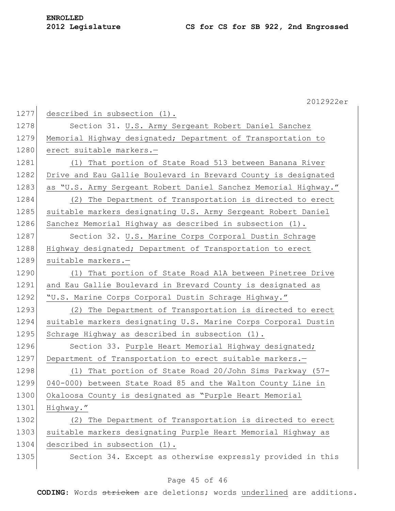|      | 2012922er                                                       |
|------|-----------------------------------------------------------------|
| 1277 | described in subsection (1).                                    |
| 1278 | Section 31. U.S. Army Sergeant Robert Daniel Sanchez            |
| 1279 | Memorial Highway designated; Department of Transportation to    |
| 1280 | erect suitable markers.-                                        |
| 1281 | (1) That portion of State Road 513 between Banana River         |
| 1282 | Drive and Eau Gallie Boulevard in Brevard County is designated  |
| 1283 | as "U.S. Army Sergeant Robert Daniel Sanchez Memorial Highway." |
| 1284 | The Department of Transportation is directed to erect<br>(2)    |
| 1285 | suitable markers designating U.S. Army Sergeant Robert Daniel   |
| 1286 | Sanchez Memorial Highway as described in subsection (1).        |
| 1287 | Section 32. U.S. Marine Corps Corporal Dustin Schrage           |
| 1288 | Highway designated; Department of Transportation to erect       |
| 1289 | suitable markers.-                                              |
| 1290 | (1) That portion of State Road A1A between Pinetree Drive       |
| 1291 | and Eau Gallie Boulevard in Brevard County is designated as     |
| 1292 | "U.S. Marine Corps Corporal Dustin Schrage Highway."            |
| 1293 | (2) The Department of Transportation is directed to erect       |
| 1294 | suitable markers designating U.S. Marine Corps Corporal Dustin  |
| 1295 | Schrage Highway as described in subsection (1).                 |
| 1296 | Section 33. Purple Heart Memorial Highway designated;           |
| 1297 | Department of Transportation to erect suitable markers.-        |
| 1298 | That portion of State Road 20/John Sims Parkway (57-<br>(1)     |
| 1299 | 040-000) between State Road 85 and the Walton County Line in    |
| 1300 | Okaloosa County is designated as "Purple Heart Memorial         |
| 1301 | Highway."                                                       |
| 1302 | (2) The Department of Transportation is directed to erect       |
| 1303 | suitable markers designating Purple Heart Memorial Highway as   |
| 1304 | described in subsection (1).                                    |
| 1305 | Section 34. Except as otherwise expressly provided in this      |

# Page 45 of 46